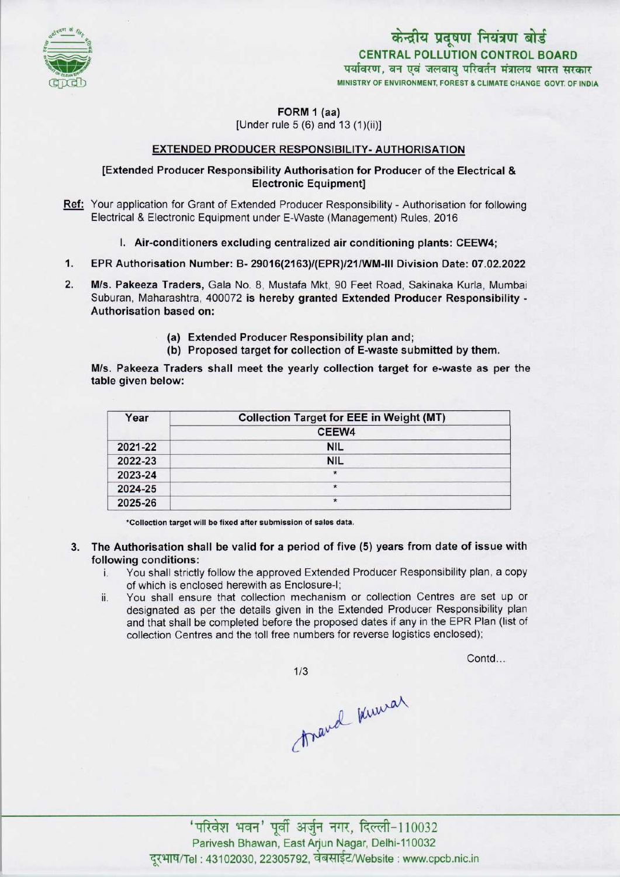

केन्द्रीय प्रदूषण नियंत्रण बोर्ड CENTRAL POLLUTION CONTROL BOARD पर्यावरण, वन एवं जलवाय परिवर्तन मंत्रालय भारत सरकार MINISTRY OF ENVIRONMENT, FOREST & CLIMATE CHANGE GOVT. OF INDIA

FORM 1 (aa)

[Under rule 5 (6) and 13 (1)(ii)]

## EXTENDED PRODUCER RESPONSIBILITY- AUTHORISATION

## [Extended Producer Responsibility Authorisation for Producer of the Electrical & Electronic Equipment]

- Ref: Your application for Grant of Extended Producer Responsibility Authorisation for following Electrical & Electronic Equipment under E-Waste (Management) Rules, 2016
	- I. Air-conditioners excluding centralized air conditioning plants: CEEW4;
- 1.EPR Authorisation Number: B-29016(2163)/(EPR)/21/WM-lll Division Date: 07.02.2022
- M/s. Pakeeza Traders, Gala No. 8, Mustafa Mkt, 90 Feet Road, Sakinaka Kurla, Mumbai Suburan, Maharashtra, 400072 is hereby granted Extended Producer Responsibility - Authorisation based on:
	- (a)Extended Producer Responsibility plan and;
	- (b) Proposed target for collection of E-waste submitted by them.

M/s. Pakeeza Traders shall meet the yearly collection target for e-waste as per the table given below:

| Year    | <b>Collection Target for EEE in Weight (MT)</b> |
|---------|-------------------------------------------------|
|         | CEEW4                                           |
| 2021-22 | <b>NIL</b>                                      |
| 2022-23 | <b>NIL</b>                                      |
| 2023-24 | $\star$                                         |
| 2024-25 | $\star$                                         |
| 2025-26 | $\star$                                         |

\*Collection target will be fixed after submission of sales data.

- 3. The Authorisation shall be valid for a period of five (5) years from date of issue with following conditions:
	- i. You shall strictly follow the approved Extended Producer Responsibility plan, <sup>a</sup> copy of which is enclosed herewith as Enclosure-I;
	- ii. You shall ensure that collection mechanism or collection Centres are set up or designated as per the details given in the Extended Producer Responsibility plan and that shall be completed before the proposed dates if any in the EPR Plan (list of collection Centres and the toll free numbers for reverse logistics enclosed);

 $1/3$ 

Contd...

travel knowar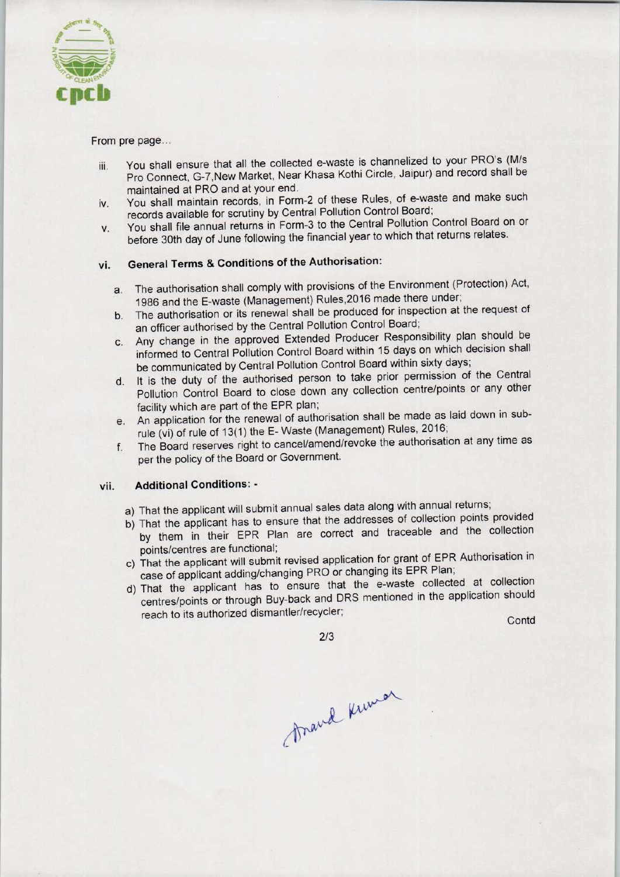

From pre page...

- iii. You shall ensure that all the collected e-waste is channelized to your PRO'S (M/s Pro Connect, G-7,New Market, Near Khasa Kothi Circle, Jaipur) and record shall be maintained at PRO and at your end.
- iv. You shall maintain records, in Form-2 of these Rules, of e-waste and make such records available for scrutiny by Central Pollution Control Board;
- v. You shall file annual returns in Form-3 to the Central Pollution Control Board on or before 30th day of June following the financial year to which that returns relates.

## vi. General Terms & Conditions of the Authorisation:

- a. The authorisation shall comply with provisions of the Environment (Protection) Act, 1986 and the E-waste (Management) Rules,2016 made there under;
- b.The authorisation or its renewal shall be produced for inspection at the request of an officer authorised by the Central Pollution Control Board;
- be communicated by Central Pollution Control Board within sixty days; c.Any change in the approved Extended Producer Responsibility plan should be informed to Central Pollution Control Board within 15 days on which decision shall designed the Linds is the mean shall be produced for inspection at the request of<br>an officer authorised by the Central Pollution Control Board;<br>c. Any change in the approved Extended Producer Responsibility plan should be<br>
- d. It is the duty of the authorised person to take prior permission of the Central<br>d. It is the duty of the authorised person to take prior permission of the Central Pollution Control Board to close down any collection centre/points or any other facility which are part of the EPR plan;
- e.An application for the renewal of authorisation shall be made aslaid down in subrule (vi) of rule of 13(1) the E-Waste (Management) Rules, 2016;
- f. The Board reserves right to cancel/amend/revoke the authorisation at any time as per the policy of the Board or Government.

## vii. Additional Conditions: -

- a) That the applicant will submit annual sales data along with annual returns;
- b) That the applicant has to ensure that the addresses of collection points provided by them in their EPR Plan are correct and traceable and the collection points/centres are functional;
- points/centres are runctional,<br>c) That the applicant will submit revised application for grant of EPR Authorisation in case of applicant adding/changing PRO or changing its EPR Plan;
- d)That the applicant has to ensure that the e-waste collected at collection centres/points or through Buy-back and DRS mentioned in the application should Pollution Control Board to close down any collection centrality which are part of the EPR plan;<br>
An application for the enewal of authorisation shall be made to the enewal of authorisation shall be made in this author<br>
The I<br>
Le and the collection<br>
of EPR Authorisation in<br>
Relan;<br>
collected at collection<br>
the application should<br>
Contd

2/3